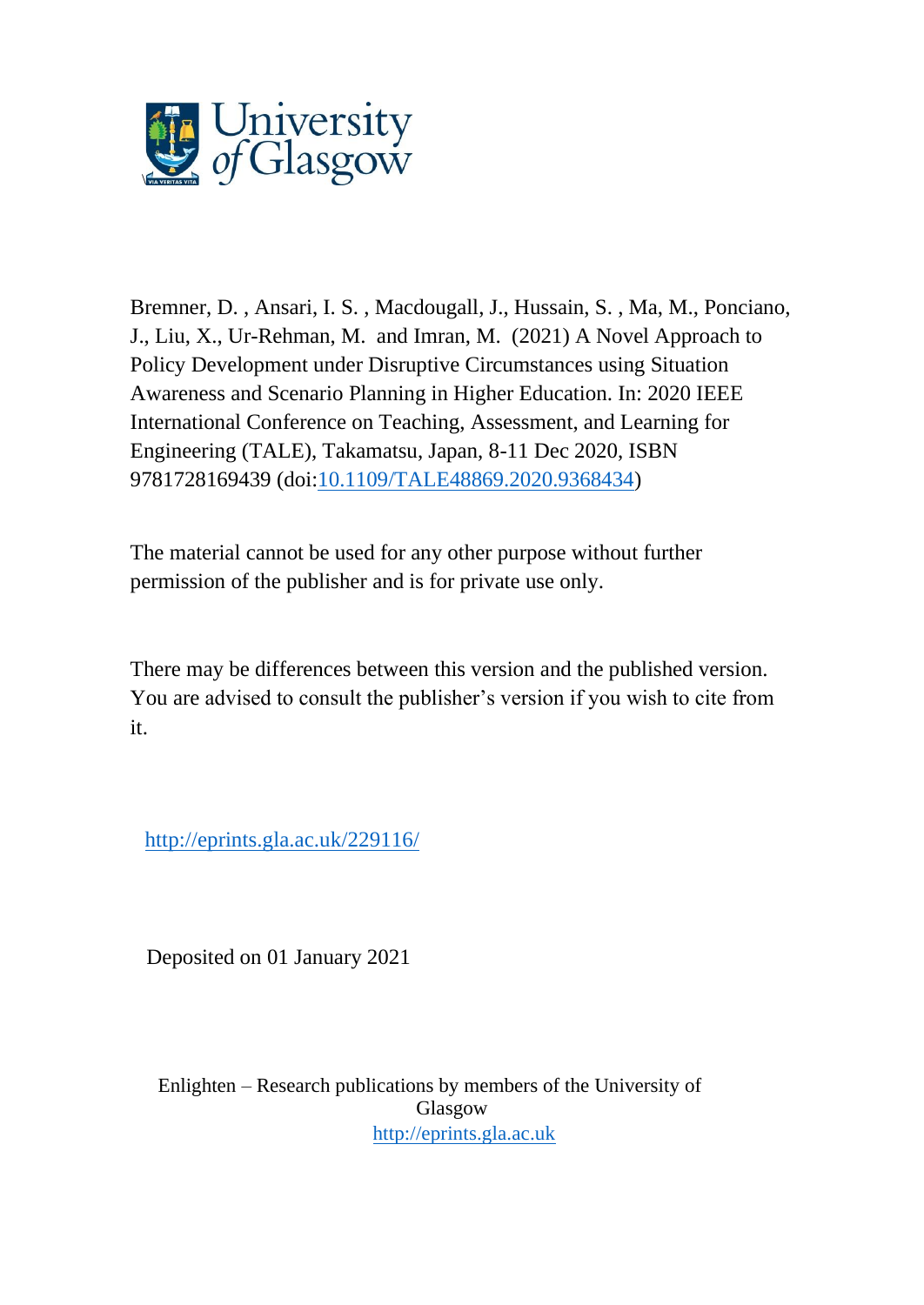

Bremner, D. , Ansari, I. S. , Macdougall, J., Hussain, S. , Ma, M., Ponciano, J., Liu, X., Ur-Rehman, M. and Imran, M. (2021) A Novel Approach to Policy Development under Disruptive Circumstances using Situation Awareness and Scenario Planning in Higher Education. In: 2020 IEEE International Conference on Teaching, Assessment, and Learning for Engineering (TALE), Takamatsu, Japan, 8-11 Dec 2020, ISBN 9781728169439 (doi[:10.1109/TALE48869.2020.9368434\)](http://dx.doi.org/10.1109/TALE48869.2020.9368434)

The material cannot be used for any other purpose without further permission of the publisher and is for private use only.

There may be differences between this version and the published version. You are advised to consult the publisher's version if you wish to cite from it.

<http://eprints.gla.ac.uk/229116/>

Deposited on 01 January 2021

Enlighten – Research publications by members of the University of Glasgow [http://eprints.gla.ac.uk](http://eprints.gla.ac.uk/)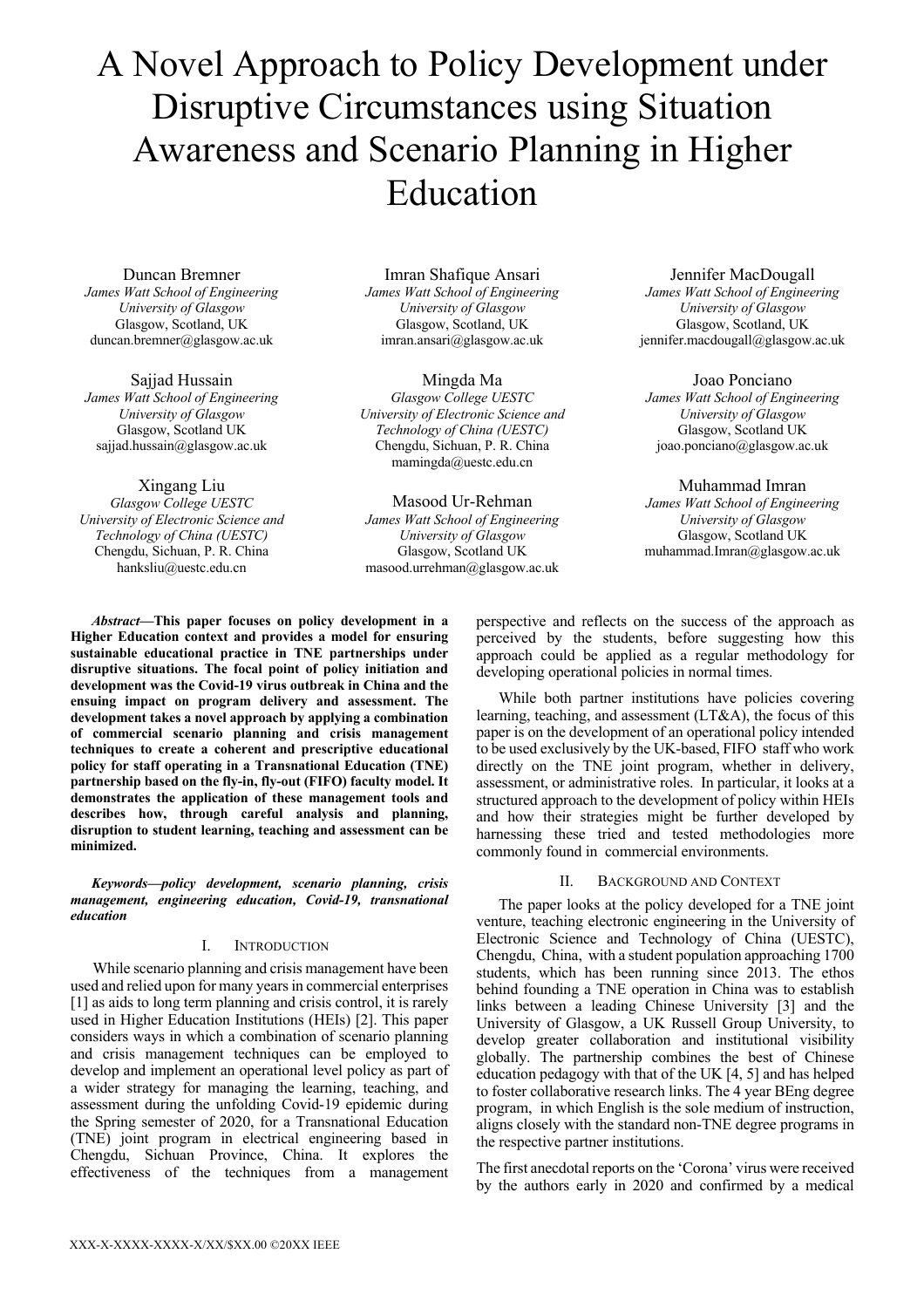# A Novel Approach to Policy Development under Disruptive Circumstances using Situation Awareness and Scenario Planning in Higher Education

## Duncan Bremner

*James Watt School of Engineering University of Glasgow* Glasgow, Scotland, UK duncan.bremner@glasgow.ac.uk

Sajjad Hussain *James Watt School of Engineering University of Glasgow* Glasgow, Scotland UK sajjad.hussain@glasgow.ac.uk

Xingang Liu *Glasgow College UESTC University of Electronic Science and Technology of China (UESTC)* Chengdu, Sichuan, P. R. China hanksliu@uestc.edu.cn

Imran Shafique Ansari *James Watt School of Engineering University of Glasgow* Glasgow, Scotland, UK imran.ansari@glasgow.ac.uk

Mingda Ma *Glasgow College UESTC University of Electronic Science and Technology of China (UESTC)* Chengdu, Sichuan, P. R. China mamingda@uestc.edu.cn

Masood Ur-Rehman *James Watt School of Engineering University of Glasgow* Glasgow, Scotland UK masood.urrehman@glasgow.ac.uk

Jennifer MacDougall *James Watt School of Engineering University of Glasgow* Glasgow, Scotland, UK jennifer.macdougall@glasgow.ac.uk

Joao Ponciano *James Watt School of Engineering University of Glasgow* Glasgow, Scotland UK joao.ponciano@glasgow.ac.uk

Muhammad Imran *James Watt School of Engineering University of Glasgow* Glasgow, Scotland UK muhammad.Imran@glasgow.ac.uk

*Abstract***—This paper focuses on policy development in a Higher Education context and provides a model for ensuring sustainable educational practice in TNE partnerships under disruptive situations. The focal point of policy initiation and development was the Covid-19 virus outbreak in China and the ensuing impact on program delivery and assessment. The development takes a novel approach by applying a combination of commercial scenario planning and crisis management techniques to create a coherent and prescriptive educational policy for staff operating in a Transnational Education (TNE) partnership based on the fly-in, fly-out (FIFO) faculty model. It demonstrates the application of these management tools and describes how, through careful analysis and planning, disruption to student learning, teaching and assessment can be minimized.**

*Keywords—policy development, scenario planning, crisis management, engineering education, Covid-19, transnational education* 

# I. INTRODUCTION

While scenario planning and crisis management have been used and relied upon for many years in commercial enterprises [1] as aids to long term planning and crisis control, it is rarely used in Higher Education Institutions (HEIs) [2]. This paper considers ways in which a combination of scenario planning and crisis management techniques can be employed to develop and implement an operational level policy as part of a wider strategy for managing the learning, teaching, and assessment during the unfolding Covid-19 epidemic during the Spring semester of 2020, for a Transnational Education (TNE) joint program in electrical engineering based in Chengdu, Sichuan Province, China. It explores the effectiveness of the techniques from a management

perspective and reflects on the success of the approach as perceived by the students, before suggesting how this approach could be applied as a regular methodology for developing operational policies in normal times.

While both partner institutions have policies covering learning, teaching, and assessment (LT&A), the focus of this paper is on the development of an operational policy intended to be used exclusively by the UK-based, FIFO staff who work directly on the TNE joint program, whether in delivery, assessment, or administrative roles. In particular, it looks at a structured approach to the development of policy within HEIs and how their strategies might be further developed by harnessing these tried and tested methodologies more commonly found in commercial environments.

# II. BACKGROUND AND CONTEXT

The paper looks at the policy developed for a TNE joint venture, teaching electronic engineering in the University of Electronic Science and Technology of China (UESTC), Chengdu, China, with a student population approaching 1700 students, which has been running since 2013. The ethos behind founding a TNE operation in China was to establish links between a leading Chinese University [3] and the University of Glasgow, a UK Russell Group University, to develop greater collaboration and institutional visibility globally. The partnership combines the best of Chinese education pedagogy with that of the UK [4, 5] and has helped to foster collaborative research links. The 4 year BEng degree program, in which English is the sole medium of instruction, aligns closely with the standard non-TNE degree programs in the respective partner institutions.

The first anecdotal reports on the 'Corona' virus were received by the authors early in 2020 and confirmed by a medical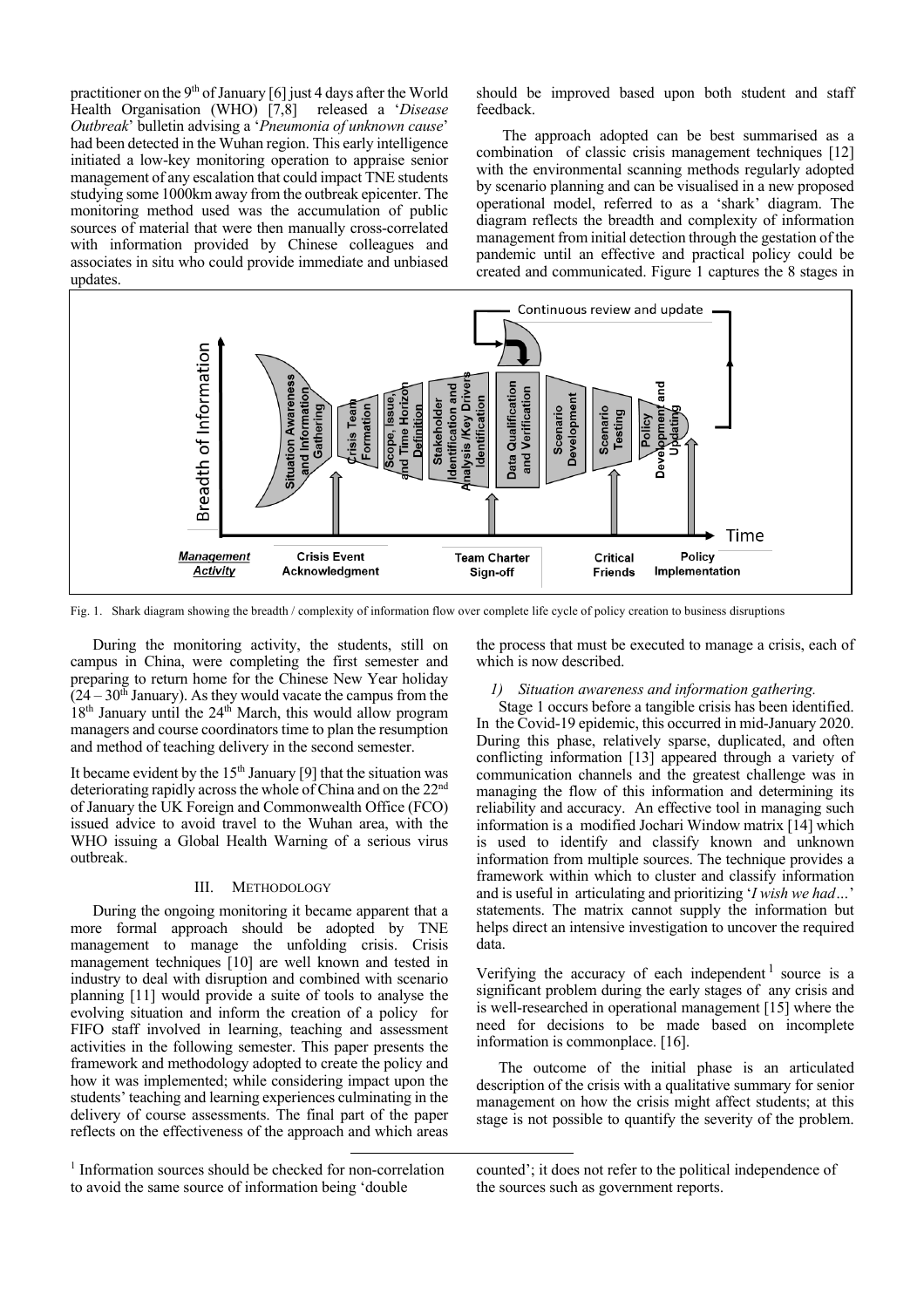practitioner on the  $9<sup>th</sup>$  of January [6] just 4 days after the World Health Organisation (WHO) [7,8] released a '*Disease Outbreak*' bulletin advising a '*Pneumonia of unknown cause*' had been detected in the Wuhan region. This early intelligence initiated a low-key monitoring operation to appraise senior management of any escalation that could impact TNE students studying some 1000km away from the outbreak epicenter. The monitoring method used was the accumulation of public sources of material that were then manually cross-correlated with information provided by Chinese colleagues and associates in situ who could provide immediate and unbiased updates.

should be improved based upon both student and staff feedback.

The approach adopted can be best summarised as a combination of classic crisis management techniques [12] with the environmental scanning methods regularly adopted by scenario planning and can be visualised in a new proposed operational model, referred to as a 'shark' diagram. The diagram reflects the breadth and complexity of information management from initial detection through the gestation of the pandemic until an effective and practical policy could be created and communicated. Figure 1 captures the 8 stages in



Fig. 1. Shark diagram showing the breadth / complexity of information flow over complete life cycle of policy creation to business disruptions

During the monitoring activity, the students, still on campus in China, were completing the first semester and preparing to return home for the Chinese New Year holiday  $(24 – 30<sup>th</sup> January)$ . As they would vacate the campus from the  $18<sup>th</sup>$  January until the 24<sup>th</sup> March, this would allow program managers and course coordinators time to plan the resumption and method of teaching delivery in the second semester.

It became evident by the  $15<sup>th</sup>$  January [9] that the situation was deteriorating rapidly across the whole of China and on the 22<sup>nd</sup> of January the UK Foreign and Commonwealth Office (FCO) issued advice to avoid travel to the Wuhan area, with the WHO issuing a Global Health Warning of a serious virus outbreak.

#### III. METHODOLOGY

During the ongoing monitoring it became apparent that a more formal approach should be adopted by TNE management to manage the unfolding crisis. Crisis management techniques [10] are well known and tested in industry to deal with disruption and combined with scenario planning [11] would provide a suite of tools to analyse the evolving situation and inform the creation of a policy for FIFO staff involved in learning, teaching and assessment activities in the following semester. This paper presents the framework and methodology adopted to create the policy and how it was implemented; while considering impact upon the students' teaching and learning experiences culminating in the delivery of course assessments. The final part of the paper reflects on the effectiveness of the approach and which areas

the process that must be executed to manage a crisis, each of which is now described.

# *1) Situation awareness and information gathering.*

Stage 1 occurs before a tangible crisis has been identified. In the Covid-19 epidemic, this occurred in mid-January 2020. During this phase, relatively sparse, duplicated, and often conflicting information [13] appeared through a variety of communication channels and the greatest challenge was in managing the flow of this information and determining its reliability and accuracy. An effective tool in managing such information is a modified Jochari Window matrix [14] which is used to identify and classify known and unknown information from multiple sources. The technique provides a framework within which to cluster and classify information and is useful in articulating and prioritizing '*I wish we had…*' statements. The matrix cannot supply the information but helps direct an intensive investigation to uncover the required data.

Verifying the accuracy of each independent<sup>1</sup> source is a significant problem during the early stages of any crisis and is well-researched in operational management [15] where the need for decisions to be made based on incomplete information is commonplace. [16].

The outcome of the initial phase is an articulated description of the crisis with a qualitative summary for senior management on how the crisis might affect students; at this stage is not possible to quantify the severity of the problem.

<sup>&</sup>lt;sup>1</sup> Information sources should be checked for non-correlation to avoid the same source of information being 'double

counted'; it does not refer to the political independence of the sources such as government reports.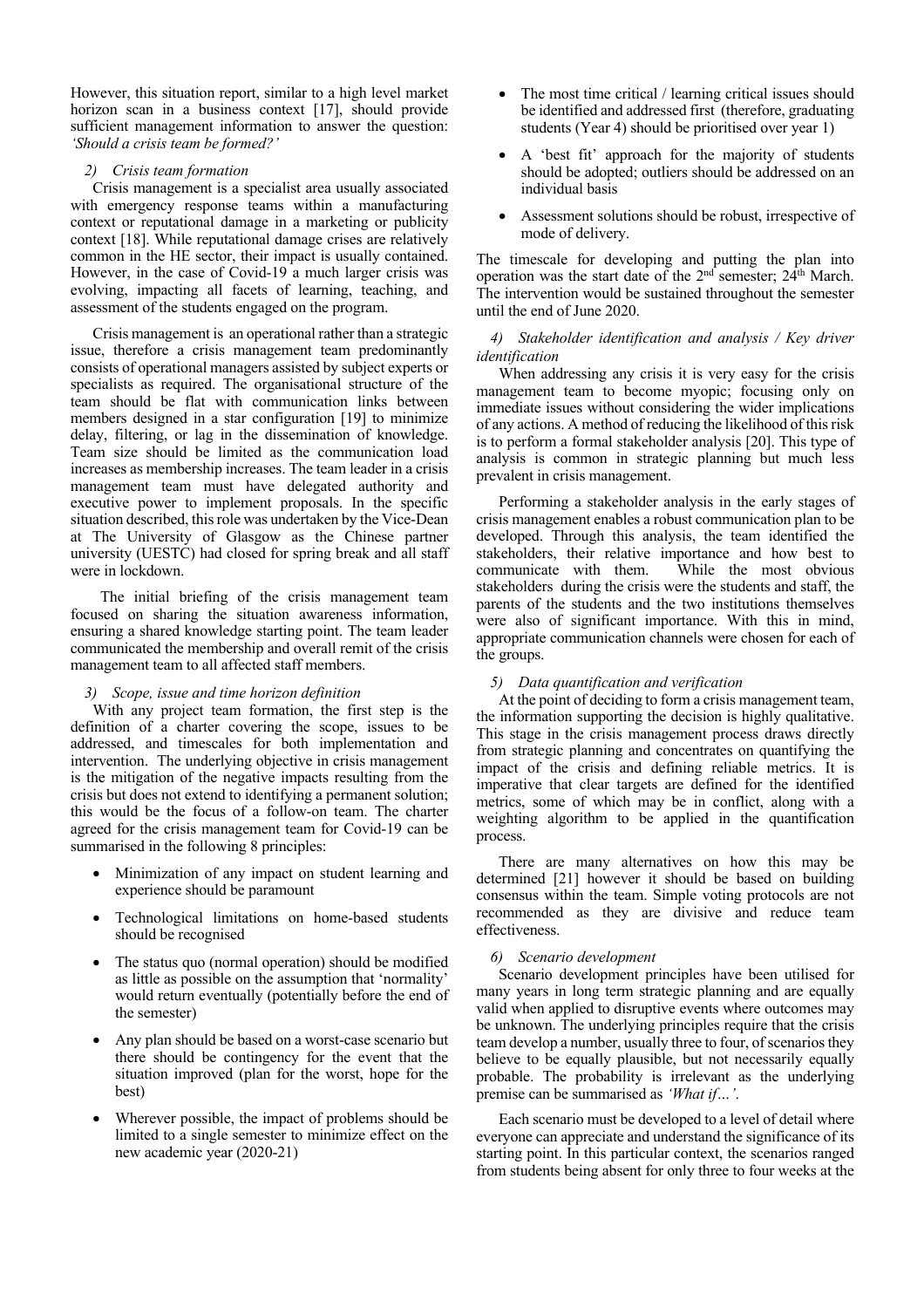However, this situation report, similar to a high level market horizon scan in a business context [17], should provide sufficient management information to answer the question: *'Should a crisis team be formed?'* 

# *2) Crisis team formation*

Crisis management is a specialist area usually associated with emergency response teams within a manufacturing context or reputational damage in a marketing or publicity context [18]. While reputational damage crises are relatively common in the HE sector, their impact is usually contained. However, in the case of Covid-19 a much larger crisis was evolving, impacting all facets of learning, teaching, and assessment of the students engaged on the program.

Crisis management is an operational rather than a strategic issue, therefore a crisis management team predominantly consists of operational managers assisted by subject experts or specialists as required. The organisational structure of the team should be flat with communication links between members designed in a star configuration [19] to minimize delay, filtering, or lag in the dissemination of knowledge. Team size should be limited as the communication load increases as membership increases. The team leader in a crisis management team must have delegated authority and executive power to implement proposals. In the specific situation described, this role was undertaken by the Vice-Dean at The University of Glasgow as the Chinese partner university (UESTC) had closed for spring break and all staff were in lockdown.

 The initial briefing of the crisis management team focused on sharing the situation awareness information, ensuring a shared knowledge starting point. The team leader communicated the membership and overall remit of the crisis management team to all affected staff members.

# *3) Scope, issue and time horizon definition*

With any project team formation, the first step is the definition of a charter covering the scope, issues to be addressed, and timescales for both implementation and intervention. The underlying objective in crisis management is the mitigation of the negative impacts resulting from the crisis but does not extend to identifying a permanent solution; this would be the focus of a follow-on team. The charter agreed for the crisis management team for Covid-19 can be summarised in the following 8 principles:

- Minimization of any impact on student learning and experience should be paramount
- Technological limitations on home-based students should be recognised
- The status quo (normal operation) should be modified as little as possible on the assumption that 'normality' would return eventually (potentially before the end of the semester)
- Any plan should be based on a worst-case scenario but there should be contingency for the event that the situation improved (plan for the worst, hope for the best)
- Wherever possible, the impact of problems should be limited to a single semester to minimize effect on the new academic year (2020-21)
- The most time critical / learning critical issues should be identified and addressed first (therefore, graduating students (Year 4) should be prioritised over year 1)
- A 'best fit' approach for the majority of students should be adopted; outliers should be addressed on an individual basis
- Assessment solutions should be robust, irrespective of mode of delivery.

The timescale for developing and putting the plan into operation was the start date of the  $2<sup>nd</sup>$  semester;  $24<sup>th</sup>$  March. The intervention would be sustained throughout the semester until the end of June 2020.

# *4) Stakeholder identification and analysis / Key driver identification*

When addressing any crisis it is very easy for the crisis management team to become myopic; focusing only on immediate issues without considering the wider implications of any actions. A method of reducing the likelihood of this risk is to perform a formal stakeholder analysis [20]. This type of analysis is common in strategic planning but much less prevalent in crisis management.

Performing a stakeholder analysis in the early stages of crisis management enables a robust communication plan to be developed. Through this analysis, the team identified the stakeholders, their relative importance and how best to communicate with them. While the most obvious stakeholders during the crisis were the students and staff, the parents of the students and the two institutions themselves were also of significant importance. With this in mind, appropriate communication channels were chosen for each of the groups.

# *5) Data quantification and verification*

At the point of deciding to form a crisis management team, the information supporting the decision is highly qualitative. This stage in the crisis management process draws directly from strategic planning and concentrates on quantifying the impact of the crisis and defining reliable metrics. It is imperative that clear targets are defined for the identified metrics, some of which may be in conflict, along with a weighting algorithm to be applied in the quantification process.

There are many alternatives on how this may be determined [21] however it should be based on building consensus within the team. Simple voting protocols are not recommended as they are divisive and reduce team effectiveness.

# *6) Scenario development*

Scenario development principles have been utilised for many years in long term strategic planning and are equally valid when applied to disruptive events where outcomes may be unknown. The underlying principles require that the crisis team develop a number, usually three to four, of scenarios they believe to be equally plausible, but not necessarily equally probable. The probability is irrelevant as the underlying premise can be summarised as *'What if…'*.

Each scenario must be developed to a level of detail where everyone can appreciate and understand the significance of its starting point. In this particular context, the scenarios ranged from students being absent for only three to four weeks at the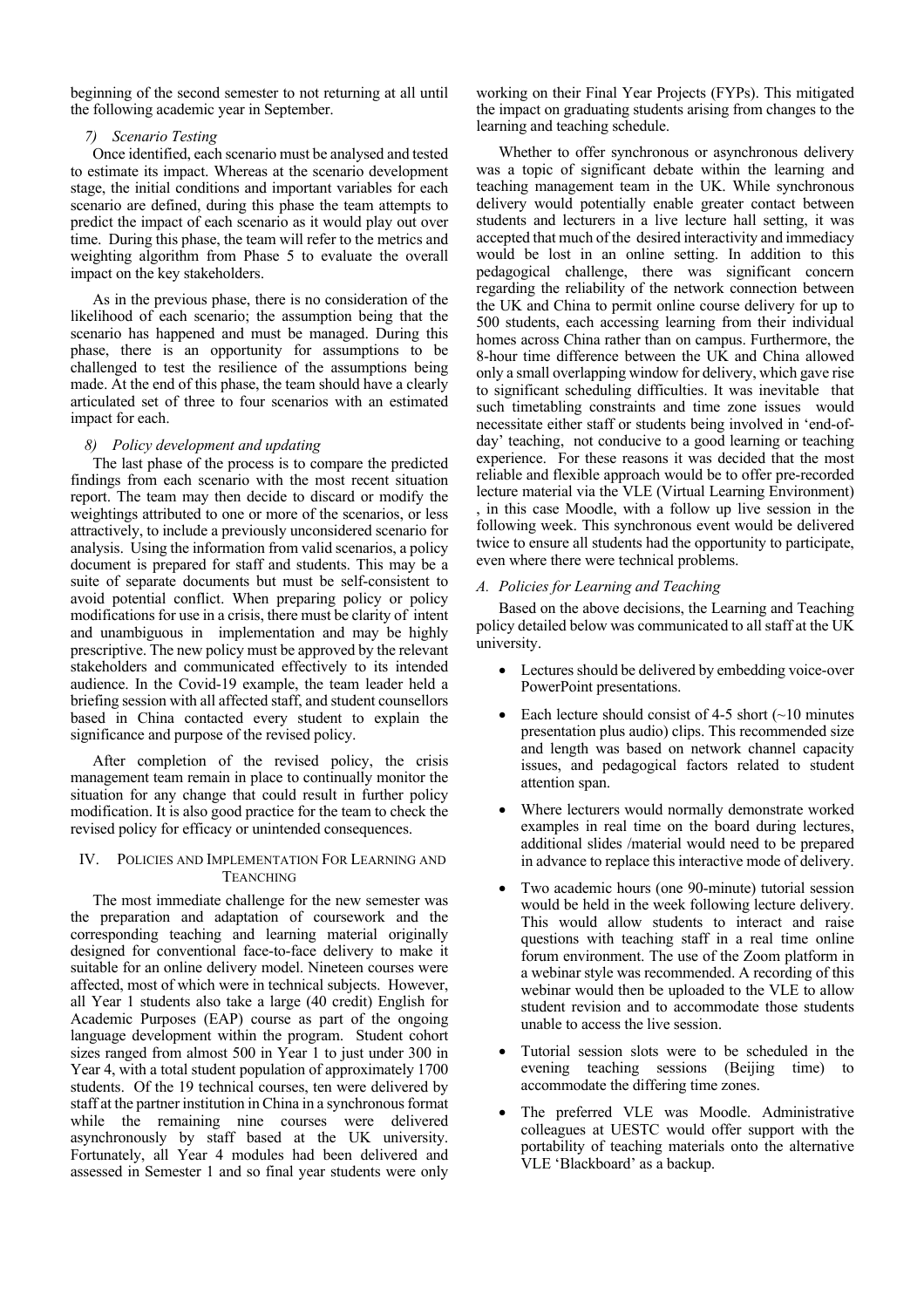beginning of the second semester to not returning at all until the following academic year in September.

# *7) Scenario Testing*

Once identified, each scenario must be analysed and tested to estimate its impact. Whereas at the scenario development stage, the initial conditions and important variables for each scenario are defined, during this phase the team attempts to predict the impact of each scenario as it would play out over time. During this phase, the team will refer to the metrics and weighting algorithm from Phase 5 to evaluate the overall impact on the key stakeholders.

As in the previous phase, there is no consideration of the likelihood of each scenario; the assumption being that the scenario has happened and must be managed. During this phase, there is an opportunity for assumptions to be challenged to test the resilience of the assumptions being made. At the end of this phase, the team should have a clearly articulated set of three to four scenarios with an estimated impact for each.

#### *8) Policy development and updating*

The last phase of the process is to compare the predicted findings from each scenario with the most recent situation report. The team may then decide to discard or modify the weightings attributed to one or more of the scenarios, or less attractively, to include a previously unconsidered scenario for analysis. Using the information from valid scenarios, a policy document is prepared for staff and students. This may be a suite of separate documents but must be self-consistent to avoid potential conflict. When preparing policy or policy modifications for use in a crisis, there must be clarity of intent and unambiguous in implementation and may be highly prescriptive. The new policy must be approved by the relevant stakeholders and communicated effectively to its intended audience. In the Covid-19 example, the team leader held a briefing session with all affected staff, and student counsellors based in China contacted every student to explain the significance and purpose of the revised policy.

After completion of the revised policy, the crisis management team remain in place to continually monitor the situation for any change that could result in further policy modification. It is also good practice for the team to check the revised policy for efficacy or unintended consequences.

## IV. POLICIES AND IMPLEMENTATION FOR LEARNING AND **TEANCHING**

The most immediate challenge for the new semester was the preparation and adaptation of coursework and the corresponding teaching and learning material originally designed for conventional face-to-face delivery to make it suitable for an online delivery model. Nineteen courses were affected, most of which were in technical subjects. However, all Year 1 students also take a large (40 credit) English for Academic Purposes (EAP) course as part of the ongoing language development within the program. Student cohort sizes ranged from almost 500 in Year 1 to just under 300 in Year 4, with a total student population of approximately 1700 students. Of the 19 technical courses, ten were delivered by staff at the partner institution in China in a synchronous format while the remaining nine courses were delivered asynchronously by staff based at the UK university. Fortunately, all Year 4 modules had been delivered and assessed in Semester 1 and so final year students were only

working on their Final Year Projects (FYPs). This mitigated the impact on graduating students arising from changes to the learning and teaching schedule.

Whether to offer synchronous or asynchronous delivery was a topic of significant debate within the learning and teaching management team in the UK. While synchronous delivery would potentially enable greater contact between students and lecturers in a live lecture hall setting, it was accepted that much of the desired interactivity and immediacy would be lost in an online setting. In addition to this pedagogical challenge, there was significant concern regarding the reliability of the network connection between the UK and China to permit online course delivery for up to 500 students, each accessing learning from their individual homes across China rather than on campus. Furthermore, the 8-hour time difference between the UK and China allowed only a small overlapping window for delivery, which gave rise to significant scheduling difficulties. It was inevitable that such timetabling constraints and time zone issues would necessitate either staff or students being involved in 'end-ofday' teaching, not conducive to a good learning or teaching experience. For these reasons it was decided that the most reliable and flexible approach would be to offer pre-recorded lecture material via the VLE (Virtual Learning Environment) , in this case Moodle, with a follow up live session in the following week. This synchronous event would be delivered twice to ensure all students had the opportunity to participate, even where there were technical problems.

#### *A. Policies for Learning and Teaching*

Based on the above decisions, the Learning and Teaching policy detailed below was communicated to all staff at the UK university.

- Lectures should be delivered by embedding voice-over PowerPoint presentations.
- Each lecture should consist of 4-5 short  $(\sim 10$  minutes presentation plus audio) clips. This recommended size and length was based on network channel capacity issues, and pedagogical factors related to student attention span.
- Where lecturers would normally demonstrate worked examples in real time on the board during lectures, additional slides /material would need to be prepared in advance to replace this interactive mode of delivery.
- Two academic hours (one 90-minute) tutorial session would be held in the week following lecture delivery. This would allow students to interact and raise questions with teaching staff in a real time online forum environment. The use of the Zoom platform in a webinar style was recommended. A recording of this webinar would then be uploaded to the VLE to allow student revision and to accommodate those students unable to access the live session.
- Tutorial session slots were to be scheduled in the evening teaching sessions (Beijing time) to accommodate the differing time zones.
- The preferred VLE was Moodle. Administrative colleagues at UESTC would offer support with the portability of teaching materials onto the alternative VLE 'Blackboard' as a backup.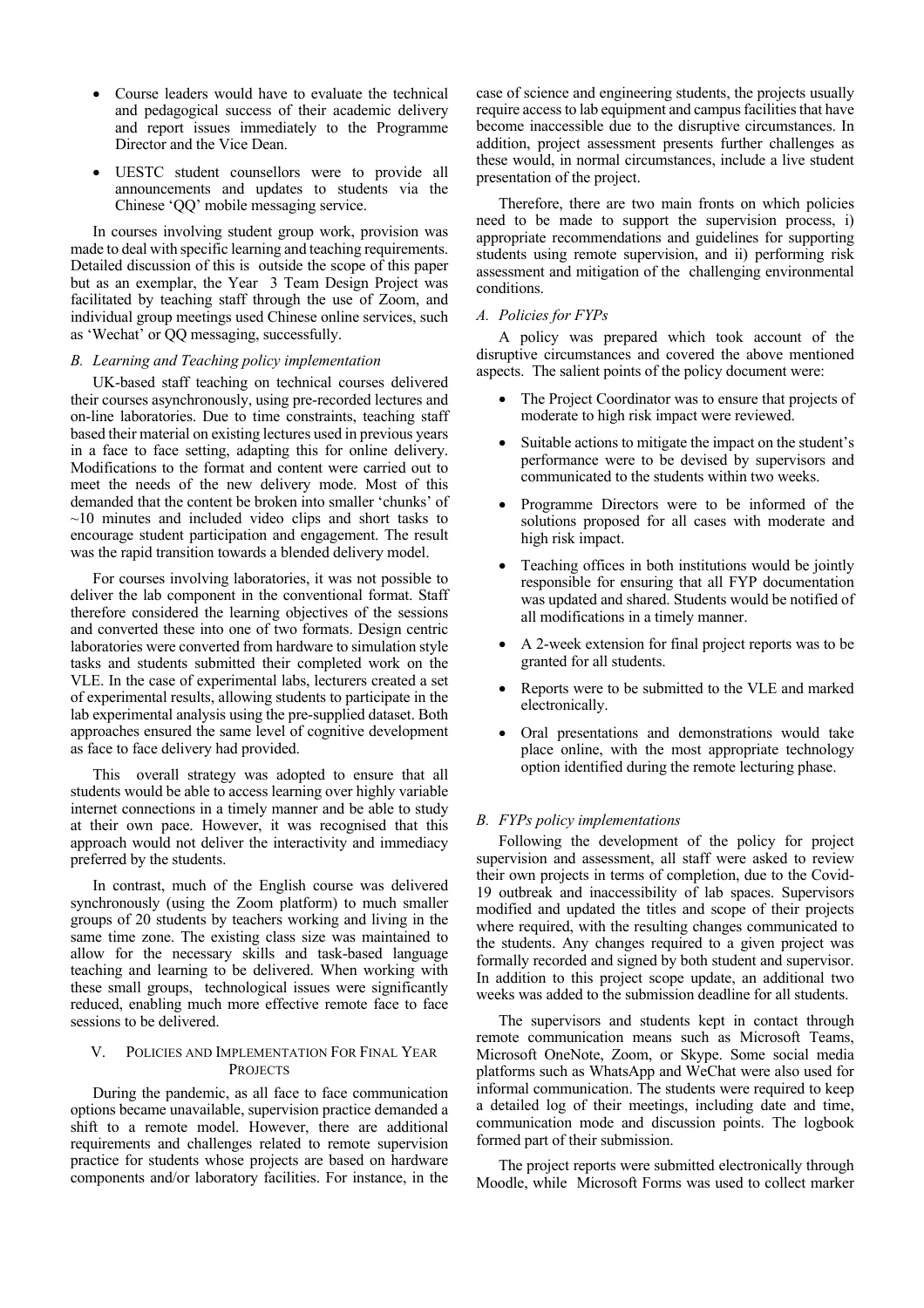- Course leaders would have to evaluate the technical and pedagogical success of their academic delivery and report issues immediately to the Programme Director and the Vice Dean.
- UESTC student counsellors were to provide all announcements and updates to students via the Chinese 'QQ' mobile messaging service.

In courses involving student group work, provision was made to deal with specific learning and teaching requirements. Detailed discussion of this is outside the scope of this paper but as an exemplar, the Year 3 Team Design Project was facilitated by teaching staff through the use of Zoom, and individual group meetings used Chinese online services, such as 'Wechat' or QQ messaging, successfully.

## *B. Learning and Teaching policy implementation*

UK-based staff teaching on technical courses delivered their courses asynchronously, using pre-recorded lectures and on-line laboratories. Due to time constraints, teaching staff based their material on existing lectures used in previous years in a face to face setting, adapting this for online delivery. Modifications to the format and content were carried out to meet the needs of the new delivery mode. Most of this demanded that the content be broken into smaller 'chunks' of  $\sim$ 10 minutes and included video clips and short tasks to encourage student participation and engagement. The result was the rapid transition towards a blended delivery model.

For courses involving laboratories, it was not possible to deliver the lab component in the conventional format. Staff therefore considered the learning objectives of the sessions and converted these into one of two formats. Design centric laboratories were converted from hardware to simulation style tasks and students submitted their completed work on the VLE. In the case of experimental labs, lecturers created a set of experimental results, allowing students to participate in the lab experimental analysis using the pre-supplied dataset. Both approaches ensured the same level of cognitive development as face to face delivery had provided.

This overall strategy was adopted to ensure that all students would be able to access learning over highly variable internet connections in a timely manner and be able to study at their own pace. However, it was recognised that this approach would not deliver the interactivity and immediacy preferred by the students.

In contrast, much of the English course was delivered synchronously (using the Zoom platform) to much smaller groups of 20 students by teachers working and living in the same time zone. The existing class size was maintained to allow for the necessary skills and task-based language teaching and learning to be delivered. When working with these small groups, technological issues were significantly reduced, enabling much more effective remote face to face sessions to be delivered.

# V. POLICIES AND IMPLEMENTATION FOR FINAL YEAR **PROJECTS**

During the pandemic, as all face to face communication options became unavailable, supervision practice demanded a shift to a remote model. However, there are additional requirements and challenges related to remote supervision practice for students whose projects are based on hardware components and/or laboratory facilities. For instance, in the case of science and engineering students, the projects usually require access to lab equipment and campus facilities that have become inaccessible due to the disruptive circumstances. In addition, project assessment presents further challenges as these would, in normal circumstances, include a live student presentation of the project.

Therefore, there are two main fronts on which policies need to be made to support the supervision process, i) appropriate recommendations and guidelines for supporting students using remote supervision, and ii) performing risk assessment and mitigation of the challenging environmental conditions.

## *A. Policies for FYPs*

A policy was prepared which took account of the disruptive circumstances and covered the above mentioned aspects. The salient points of the policy document were:

- The Project Coordinator was to ensure that projects of moderate to high risk impact were reviewed.
- Suitable actions to mitigate the impact on the student's performance were to be devised by supervisors and communicated to the students within two weeks.
- Programme Directors were to be informed of the solutions proposed for all cases with moderate and high risk impact.
- Teaching offices in both institutions would be jointly responsible for ensuring that all FYP documentation was updated and shared. Students would be notified of all modifications in a timely manner.
- A 2-week extension for final project reports was to be granted for all students.
- Reports were to be submitted to the VLE and marked electronically.
- Oral presentations and demonstrations would take place online, with the most appropriate technology option identified during the remote lecturing phase.

## *B. FYPs policy implementations*

Following the development of the policy for project supervision and assessment, all staff were asked to review their own projects in terms of completion, due to the Covid-19 outbreak and inaccessibility of lab spaces. Supervisors modified and updated the titles and scope of their projects where required, with the resulting changes communicated to the students. Any changes required to a given project was formally recorded and signed by both student and supervisor. In addition to this project scope update, an additional two weeks was added to the submission deadline for all students.

The supervisors and students kept in contact through remote communication means such as Microsoft Teams, Microsoft OneNote, Zoom, or Skype. Some social media platforms such as WhatsApp and WeChat were also used for informal communication. The students were required to keep a detailed log of their meetings, including date and time, communication mode and discussion points. The logbook formed part of their submission.

The project reports were submitted electronically through Moodle, while Microsoft Forms was used to collect marker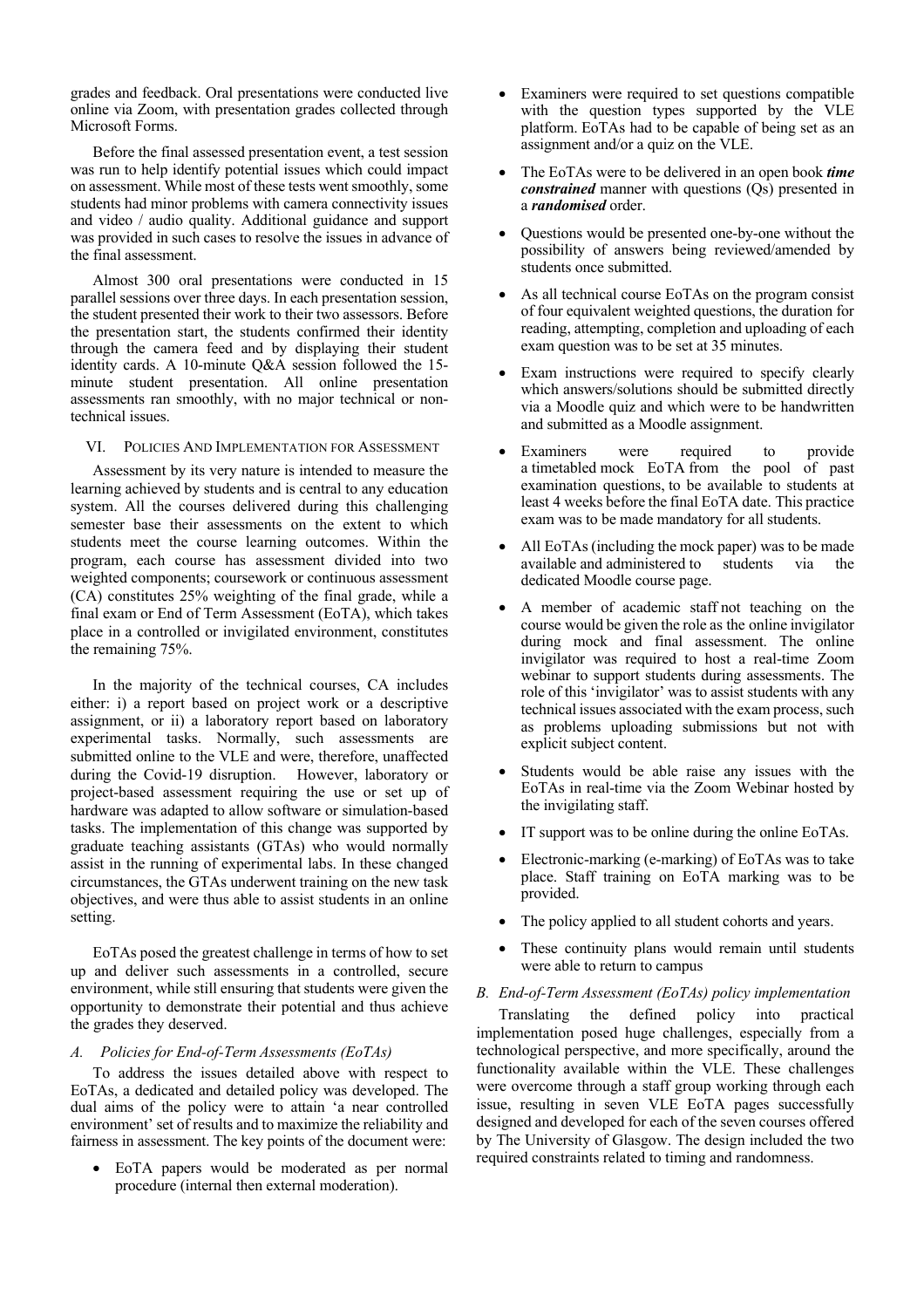grades and feedback. Oral presentations were conducted live online via Zoom, with presentation grades collected through Microsoft Forms.

Before the final assessed presentation event, a test session was run to help identify potential issues which could impact on assessment. While most of these tests went smoothly, some students had minor problems with camera connectivity issues and video / audio quality. Additional guidance and support was provided in such cases to resolve the issues in advance of the final assessment.

Almost 300 oral presentations were conducted in 15 parallel sessions over three days. In each presentation session, the student presented their work to their two assessors. Before the presentation start, the students confirmed their identity through the camera feed and by displaying their student identity cards. A 10-minute Q&A session followed the 15 minute student presentation. All online presentation assessments ran smoothly, with no major technical or nontechnical issues.

#### VI. POLICIES AND IMPLEMENTATION FOR ASSESSMENT

Assessment by its very nature is intended to measure the learning achieved by students and is central to any education system. All the courses delivered during this challenging semester base their assessments on the extent to which students meet the course learning outcomes. Within the program, each course has assessment divided into two weighted components; coursework or continuous assessment (CA) constitutes 25% weighting of the final grade, while a final exam or End of Term Assessment (EoTA), which takes place in a controlled or invigilated environment, constitutes the remaining 75%.

In the majority of the technical courses, CA includes either: i) a report based on project work or a descriptive assignment, or ii) a laboratory report based on laboratory experimental tasks. Normally, such assessments are submitted online to the VLE and were, therefore, unaffected during the Covid-19 disruption. However, laboratory or project-based assessment requiring the use or set up of hardware was adapted to allow software or simulation-based tasks. The implementation of this change was supported by graduate teaching assistants (GTAs) who would normally assist in the running of experimental labs. In these changed circumstances, the GTAs underwent training on the new task objectives, and were thus able to assist students in an online setting.

EoTAs posed the greatest challenge in terms of how to set up and deliver such assessments in a controlled, secure environment, while still ensuring that students were given the opportunity to demonstrate their potential and thus achieve the grades they deserved.

## *A. Policies for End-of-Term Assessments (EoTAs)*

To address the issues detailed above with respect to EoTAs, a dedicated and detailed policy was developed. The dual aims of the policy were to attain 'a near controlled environment' set of results and to maximize the reliability and fairness in assessment. The key points of the document were:

• EoTA papers would be moderated as per normal procedure (internal then external moderation).

- Examiners were required to set questions compatible with the question types supported by the VLE platform. EoTAs had to be capable of being set as an assignment and/or a quiz on the VLE.
- The EoTAs were to be delivered in an open book *time constrained* manner with questions (Qs) presented in a *randomised* order.
- Questions would be presented one-by-one without the possibility of answers being reviewed/amended by students once submitted.
- As all technical course EoTAs on the program consist of four equivalent weighted questions, the duration for reading, attempting, completion and uploading of each exam question was to be set at 35 minutes.
- Exam instructions were required to specify clearly which answers/solutions should be submitted directly via a Moodle quiz and which were to be handwritten and submitted as a Moodle assignment.
- Examiners were required to provide a timetabled mock EoTA from the pool of past examination questions, to be available to students at least 4 weeks before the final EoTA date. This practice exam was to be made mandatory for all students.
- All EoTAs (including the mock paper) was to be made available and administered to students via the dedicated Moodle course page.
- A member of academic staff not teaching on the course would be given the role as the online invigilator during mock and final assessment. The online invigilator was required to host a real-time Zoom webinar to support students during assessments. The role of this 'invigilator' was to assist students with any technical issues associated with the exam process, such as problems uploading submissions but not with explicit subject content.
- Students would be able raise any issues with the EoTAs in real-time via the Zoom Webinar hosted by the invigilating staff.
- IT support was to be online during the online EoTAs.
- Electronic-marking (e-marking) of EoTAs was to take place. Staff training on EoTA marking was to be provided.
- The policy applied to all student cohorts and years.
- These continuity plans would remain until students were able to return to campus

## *B. End-of-Term Assessment (EoTAs) policy implementation*

Translating the defined policy into practical implementation posed huge challenges, especially from a technological perspective, and more specifically, around the functionality available within the VLE. These challenges were overcome through a staff group working through each issue, resulting in seven VLE EoTA pages successfully designed and developed for each of the seven courses offered by The University of Glasgow. The design included the two required constraints related to timing and randomness.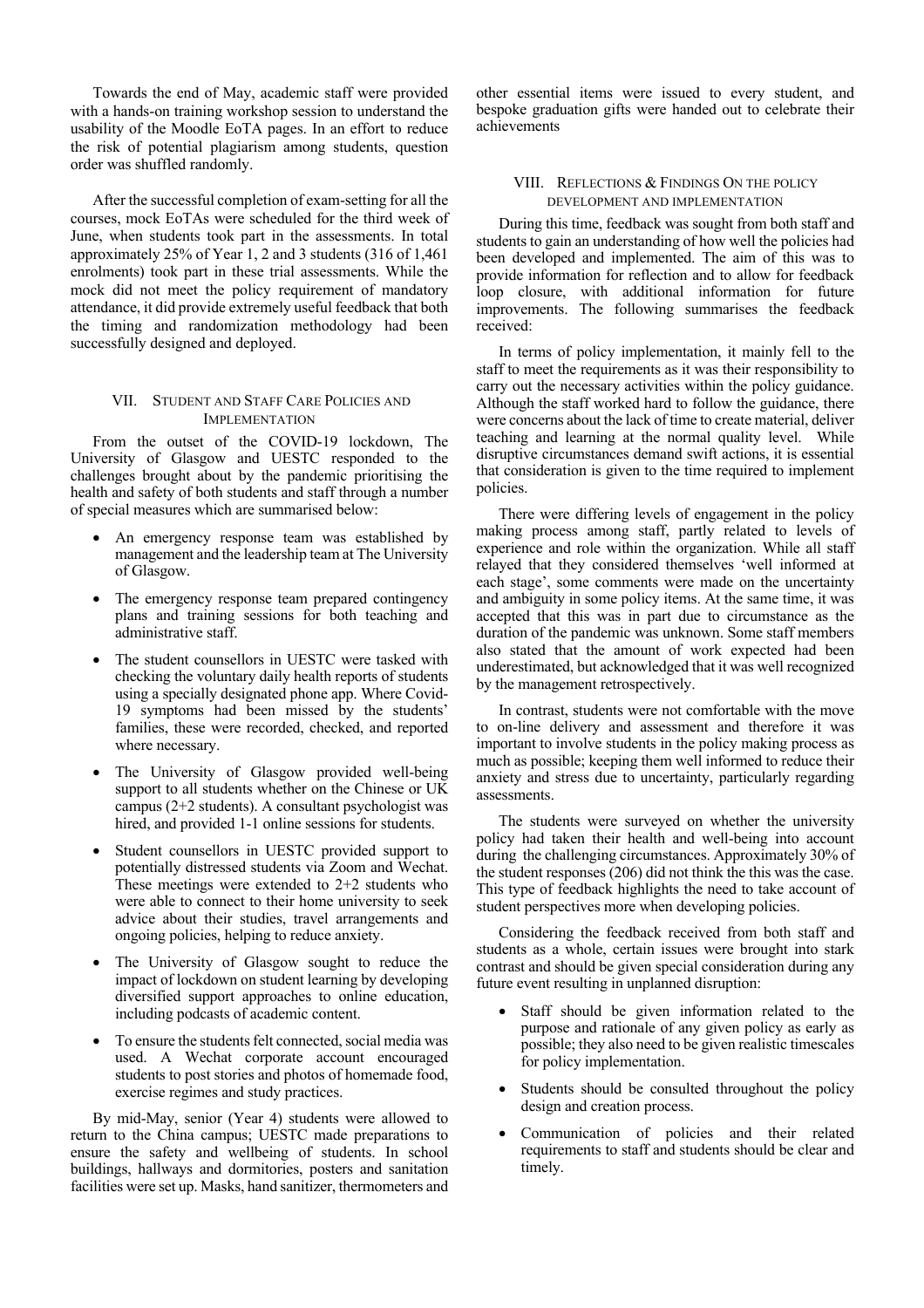Towards the end of May, academic staff were provided with a hands-on training workshop session to understand the usability of the Moodle EoTA pages. In an effort to reduce the risk of potential plagiarism among students, question order was shuffled randomly.

After the successful completion of exam-setting for all the courses, mock EoTAs were scheduled for the third week of June, when students took part in the assessments. In total approximately 25% of Year 1, 2 and 3 students (316 of 1,461 enrolments) took part in these trial assessments. While the mock did not meet the policy requirement of mandatory attendance, it did provide extremely useful feedback that both the timing and randomization methodology had been successfully designed and deployed.

# VII. STUDENT AND STAFF CARE POLICIES AND **IMPLEMENTATION**

From the outset of the COVID-19 lockdown, The University of Glasgow and UESTC responded to the challenges brought about by the pandemic prioritising the health and safety of both students and staff through a number of special measures which are summarised below:

- An emergency response team was established by management and the leadership team at The University of Glasgow.
- The emergency response team prepared contingency plans and training sessions for both teaching and administrative staff.
- The student counsellors in UESTC were tasked with checking the voluntary daily health reports of students using a specially designated phone app. Where Covid-19 symptoms had been missed by the students' families, these were recorded, checked, and reported where necessary.
- The University of Glasgow provided well-being support to all students whether on the Chinese or UK campus (2+2 students). A consultant psychologist was hired, and provided 1-1 online sessions for students.
- Student counsellors in UESTC provided support to potentially distressed students via Zoom and Wechat. These meetings were extended to 2+2 students who were able to connect to their home university to seek advice about their studies, travel arrangements and ongoing policies, helping to reduce anxiety.
- The University of Glasgow sought to reduce the impact of lockdown on student learning by developing diversified support approaches to online education, including podcasts of academic content.
- To ensure the students felt connected, social media was used. A Wechat corporate account encouraged students to post stories and photos of homemade food, exercise regimes and study practices.

By mid-May, senior (Year 4) students were allowed to return to the China campus; UESTC made preparations to ensure the safety and wellbeing of students. In school buildings, hallways and dormitories, posters and sanitation facilities were set up. Masks, hand sanitizer, thermometers and other essential items were issued to every student, and bespoke graduation gifts were handed out to celebrate their achievements

# VIII. REFLECTIONS & FINDINGS ON THE POLICY DEVELOPMENT AND IMPLEMENTATION

During this time, feedback was sought from both staff and students to gain an understanding of how well the policies had been developed and implemented. The aim of this was to provide information for reflection and to allow for feedback loop closure, with additional information for future improvements. The following summarises the feedback received:

In terms of policy implementation, it mainly fell to the staff to meet the requirements as it was their responsibility to carry out the necessary activities within the policy guidance. Although the staff worked hard to follow the guidance, there were concerns about the lack of time to create material, deliver teaching and learning at the normal quality level. While disruptive circumstances demand swift actions, it is essential that consideration is given to the time required to implement policies.

There were differing levels of engagement in the policy making process among staff, partly related to levels of experience and role within the organization. While all staff relayed that they considered themselves 'well informed at each stage', some comments were made on the uncertainty and ambiguity in some policy items. At the same time, it was accepted that this was in part due to circumstance as the duration of the pandemic was unknown. Some staff members also stated that the amount of work expected had been underestimated, but acknowledged that it was well recognized by the management retrospectively.

In contrast, students were not comfortable with the move to on-line delivery and assessment and therefore it was important to involve students in the policy making process as much as possible; keeping them well informed to reduce their anxiety and stress due to uncertainty, particularly regarding assessments.

The students were surveyed on whether the university policy had taken their health and well-being into account during the challenging circumstances. Approximately 30% of the student responses (206) did not think the this was the case. This type of feedback highlights the need to take account of student perspectives more when developing policies.

Considering the feedback received from both staff and students as a whole, certain issues were brought into stark contrast and should be given special consideration during any future event resulting in unplanned disruption:

- Staff should be given information related to the purpose and rationale of any given policy as early as possible; they also need to be given realistic timescales for policy implementation.
- Students should be consulted throughout the policy design and creation process.
- Communication of policies and their related requirements to staff and students should be clear and timely.